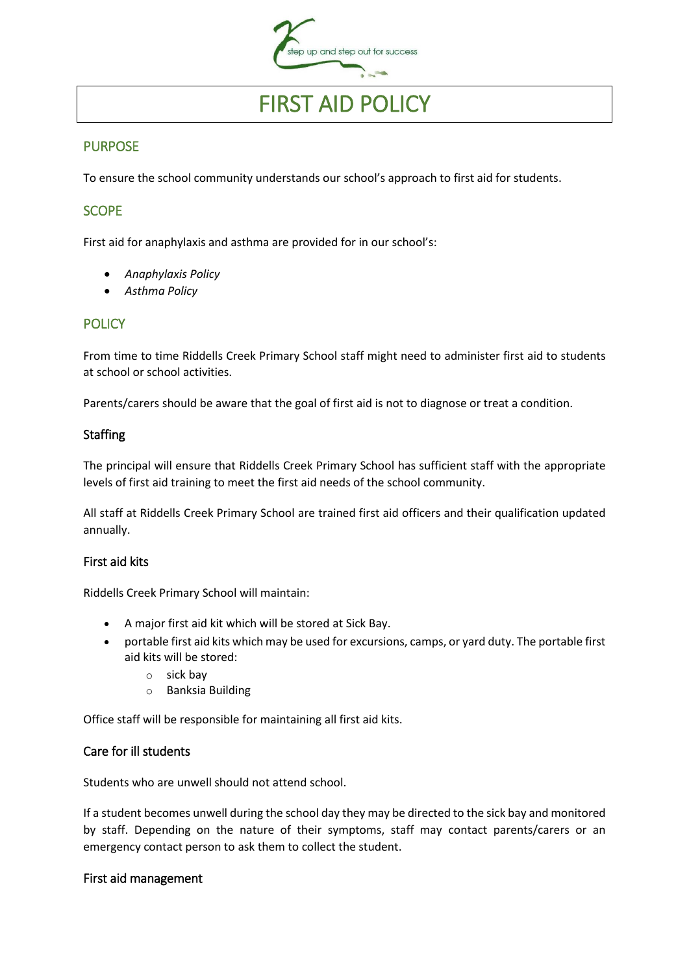

# FIRST AID POLICY

## PURPOSE

To ensure the school community understands our school's approach to first aid for students.

## **SCOPE**

First aid for anaphylaxis and asthma are provided for in our school's:

- *Anaphylaxis Policy*
- *Asthma Policy*

## **POLICY**

From time to time Riddells Creek Primary School staff might need to administer first aid to students at school or school activities.

Parents/carers should be aware that the goal of first aid is not to diagnose or treat a condition.

#### **Staffing**

The principal will ensure that Riddells Creek Primary School has sufficient staff with the appropriate levels of first aid training to meet the first aid needs of the school community.

All staff at Riddells Creek Primary School are trained first aid officers and their qualification updated annually.

#### First aid kits

Riddells Creek Primary School will maintain:

- A major first aid kit which will be stored at Sick Bay.
- portable first aid kits which may be used for excursions, camps, or yard duty. The portable first aid kits will be stored:
	- o sick bay
	- o Banksia Building

Office staff will be responsible for maintaining all first aid kits.

#### Care for ill students

Students who are unwell should not attend school.

If a student becomes unwell during the school day they may be directed to the sick bay and monitored by staff. Depending on the nature of their symptoms, staff may contact parents/carers or an emergency contact person to ask them to collect the student.

#### First aid management